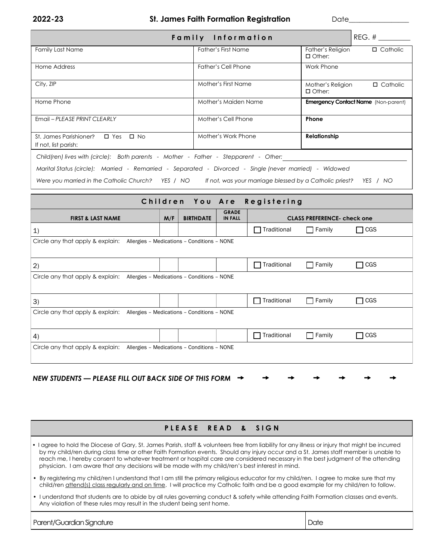**2022-23 St. James Faith Formation Registration** Date\_\_\_\_\_

| $REG.$ #<br>Family Information                                                                                              |                            |                                                       |  |  |
|-----------------------------------------------------------------------------------------------------------------------------|----------------------------|-------------------------------------------------------|--|--|
| <b>Family Last Name</b>                                                                                                     | <b>Father's First Name</b> | Father's Religion<br>$\Box$ Catholic<br>$\Box$ Other: |  |  |
| Home Address                                                                                                                | <b>Father's Cell Phone</b> | Work Phone                                            |  |  |
| City, ZIP                                                                                                                   | Mother's First Name        | Mother's Religion<br>$\Box$ Catholic<br>$\Box$ Other: |  |  |
| Home Phone                                                                                                                  | Mother's Maiden Name       | <b>Emergency Contact Name</b> (Non-parent)            |  |  |
| Email - PLEASE PRINT CLEARLY                                                                                                | Mother's Cell Phone        | Phone                                                 |  |  |
| $\square$ Yes<br>St. James Parishioner?<br>$\Box$ No<br>If not, list parish:                                                | Mother's Work Phone        | Relationship                                          |  |  |
| Child(ren) lives with (circle): Both parents - Mother - Father - Stepparent - Other:                                        |                            |                                                       |  |  |
| Marital Status (circle): Married - Remarried - Separated - Divorced - Single (never married) - Widowed                      |                            |                                                       |  |  |
| Were you married in the Catholic Church? YES / NO<br>If not, was your marriage blessed by a Catholic priest?<br>YES<br>/ NO |                            |                                                       |  |  |

| Children You Are Registering                                                                                                    |  |  |  |                    |               |            |
|---------------------------------------------------------------------------------------------------------------------------------|--|--|--|--------------------|---------------|------------|
| <b>GRADE</b><br>M/F<br><b>BIRTHDATE</b><br><b>FIRST &amp; LAST NAME</b><br><b>IN FALL</b><br><b>CLASS PREFERENCE- check one</b> |  |  |  |                    |               |            |
| 1)                                                                                                                              |  |  |  | $\Box$ Traditional | $\Box$ Family | $\Box$ CGS |
| Circle any that apply & explain: Allergies - Medications - Conditions - NONE                                                    |  |  |  |                    |               |            |
| (2)                                                                                                                             |  |  |  | $\Box$ Traditional | $\Box$ Family | $\Box$ CGS |
| Circle any that apply & explain: Allergies - Medications - Conditions - NONE                                                    |  |  |  |                    |               |            |
| 3)                                                                                                                              |  |  |  | $\Box$ Traditional | $\Box$ Family | $\Box$ CGS |
| Circle any that apply & explain: Allergies - Medications - Conditions - NONE                                                    |  |  |  |                    |               |            |
| 4)                                                                                                                              |  |  |  | $\Box$ Traditional | $\Box$ Family | $\Box$ CGS |
| Circle any that apply & explain: Allergies - Medications - Conditions - NONE                                                    |  |  |  |                    |               |            |

## PLEASE READ & SIGN

- **•** I agree to hold the Diocese of Gary, St. James Parish, staff & volunteers free from liability for any illness or injury that might be incurred by my child/ren during class time or other Faith Formation events. Should any injury occur and a St. James staff member is unable to reach me, I hereby consent to whatever treatment or hospital care are considered necessary in the best judgment of the attending physician. I am aware that any decisions will be made with my child/ren's best interest in mind.
- By registering my child/ren I understand that I am still the primary religious educator for my child/ren. I agree to make sure that my child/ren attend(s) class regularly and on time. I will practice my Catholic faith and be a good example for my child/ren to follow.
- I understand that students are to abide by all rules governing conduct & safety while attending Faith Formation classes and events. Any violation of these rules may result in the student being sent home.

Parent/Guardian Signature